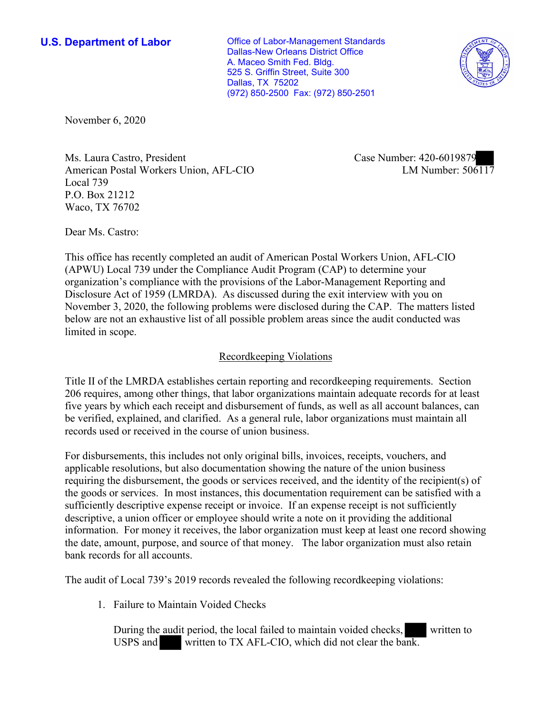**U.S. Department of Labor Conservative Conservative Conservative Conservative U.S.** Department of Labor Dallas-New Orleans District Office A. Maceo Smith Fed. Bldg. 525 S. Griffin Street, Suite 300 Dallas, TX 75202 (972) 850-2500 Fax: (972) 850-2501



November 6, 2020

Ms. Laura Castro, President Case Number: 420-6019879 American Postal Workers Union, AFL-CIO Local 739 P.O. Box 21212 Waco, TX 76702

LM Number:  $506117$ 

Dear Ms. Castro:

This office has recently completed an audit of American Postal Workers Union, AFL-CIO (APWU) Local 739 under the Compliance Audit Program (CAP) to determine your organization's compliance with the provisions of the Labor-Management Reporting and Disclosure Act of 1959 (LMRDA). As discussed during the exit interview with you on November 3, 2020, the following problems were disclosed during the CAP. The matters listed below are not an exhaustive list of all possible problem areas since the audit conducted was limited in scope.

# Recordkeeping Violations

Title II of the LMRDA establishes certain reporting and recordkeeping requirements. Section 206 requires, among other things, that labor organizations maintain adequate records for at least five years by which each receipt and disbursement of funds, as well as all account balances, can be verified, explained, and clarified. As a general rule, labor organizations must maintain all records used or received in the course of union business.

For disbursements, this includes not only original bills, invoices, receipts, vouchers, and applicable resolutions, but also documentation showing the nature of the union business requiring the disbursement, the goods or services received, and the identity of the recipient(s) of the goods or services. In most instances, this documentation requirement can be satisfied with a sufficiently descriptive expense receipt or invoice. If an expense receipt is not sufficiently descriptive, a union officer or employee should write a note on it providing the additional information. For money it receives, the labor organization must keep at least one record showing the date, amount, purpose, and source of that money. The labor organization must also retain bank records for all accounts.

The audit of Local 739's 2019 records revealed the following recordkeeping violations:

1. Failure to Maintain Voided Checks

audi<br>
audi nk. During the audit period, the local failed to maintain voided checks, written to USPS and written to TX AFL-CIO, which did not clear the bank.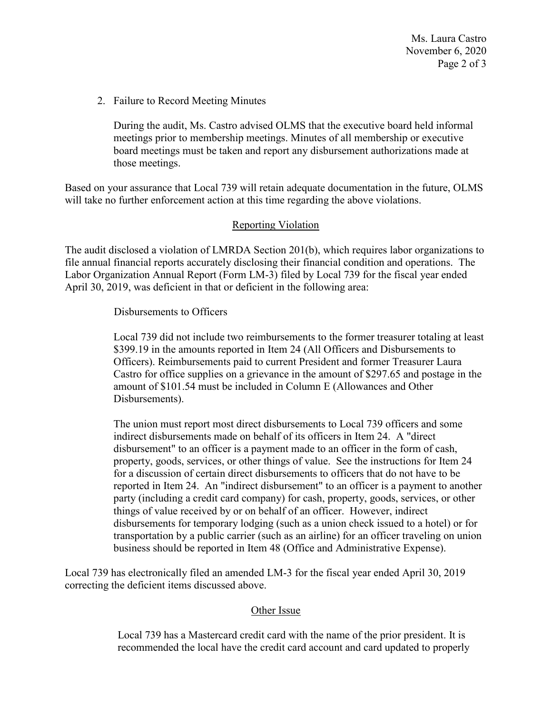Ms. Laura Castro November 6, 2020 Page 2 of 3

2. Failure to Record Meeting Minutes

During the audit, Ms. Castro advised OLMS that the executive board held informal meetings prior to membership meetings. Minutes of all membership or executive board meetings must be taken and report any disbursement authorizations made at those meetings.

Based on your assurance that Local 739 will retain adequate documentation in the future, OLMS will take no further enforcement action at this time regarding the above violations.

## Reporting Violation

The audit disclosed a violation of LMRDA Section 201(b), which requires labor organizations to file annual financial reports accurately disclosing their financial condition and operations. The Labor Organization Annual Report (Form LM-3) filed by Local 739 for the fiscal year ended April 30, 2019, was deficient in that or deficient in the following area:

### Disbursements to Officers

Local 739 did not include two reimbursements to the former treasurer totaling at least \$399.19 in the amounts reported in Item 24 (All Officers and Disbursements to Officers). Reimbursements paid to current President and former Treasurer Laura Castro for office supplies on a grievance in the amount of \$297.65 and postage in the amount of \$101.54 must be included in Column E (Allowances and Other Disbursements).

The union must report most direct disbursements to Local 739 officers and some indirect disbursements made on behalf of its officers in Item 24. A "direct disbursement" to an officer is a payment made to an officer in the form of cash, property, goods, services, or other things of value. See the instructions for Item 24 for a discussion of certain direct disbursements to officers that do not have to be reported in Item 24. An "indirect disbursement" to an officer is a payment to another party (including a credit card company) for cash, property, goods, services, or other things of value received by or on behalf of an officer. However, indirect disbursements for temporary lodging (such as a union check issued to a hotel) or for transportation by a public carrier (such as an airline) for an officer traveling on union business should be reported in Item 48 (Office and Administrative Expense).

Local 739 has electronically filed an amended LM-3 for the fiscal year ended April 30, 2019 correcting the deficient items discussed above.

#### Other Issue

Local 739 has a Mastercard credit card with the name of the prior president. It is recommended the local have the credit card account and card updated to properly